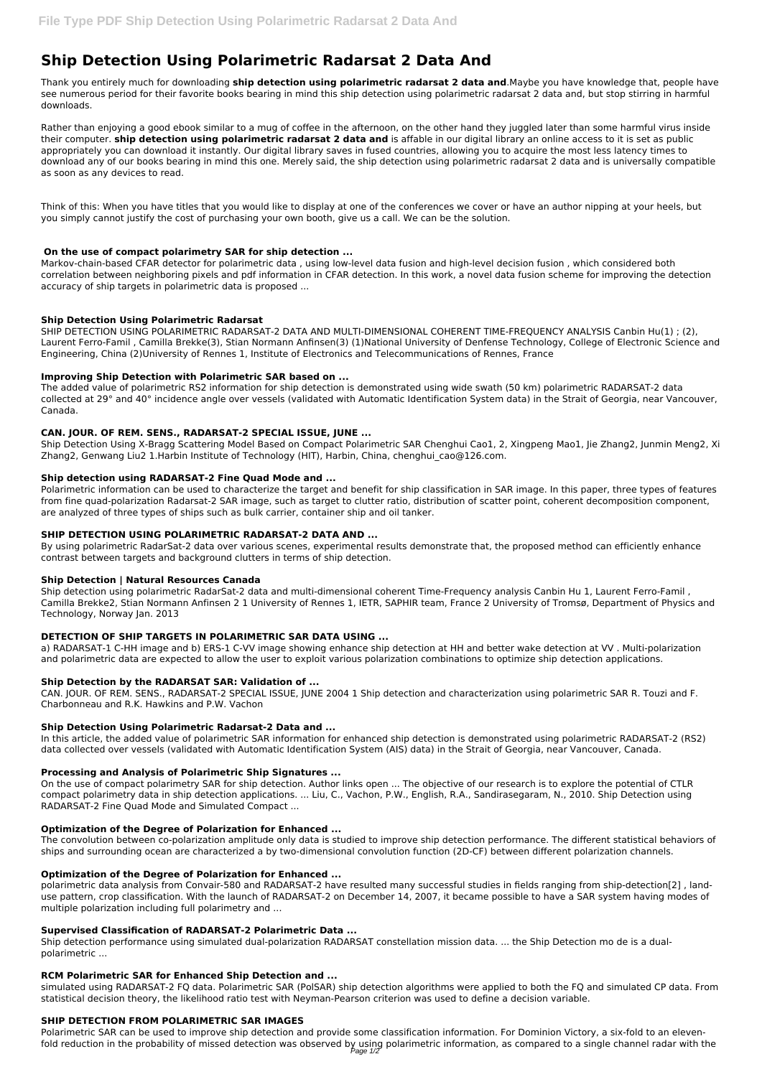# **Ship Detection Using Polarimetric Radarsat 2 Data And**

Thank you entirely much for downloading **ship detection using polarimetric radarsat 2 data and**.Maybe you have knowledge that, people have see numerous period for their favorite books bearing in mind this ship detection using polarimetric radarsat 2 data and, but stop stirring in harmful downloads.

Rather than enjoying a good ebook similar to a mug of coffee in the afternoon, on the other hand they juggled later than some harmful virus inside their computer. **ship detection using polarimetric radarsat 2 data and** is affable in our digital library an online access to it is set as public appropriately you can download it instantly. Our digital library saves in fused countries, allowing you to acquire the most less latency times to download any of our books bearing in mind this one. Merely said, the ship detection using polarimetric radarsat 2 data and is universally compatible as soon as any devices to read.

Think of this: When you have titles that you would like to display at one of the conferences we cover or have an author nipping at your heels, but you simply cannot justify the cost of purchasing your own booth, give us a call. We can be the solution.

# **On the use of compact polarimetry SAR for ship detection ...**

Markov-chain-based CFAR detector for polarimetric data , using low-level data fusion and high-level decision fusion , which considered both correlation between neighboring pixels and pdf information in CFAR detection. In this work, a novel data fusion scheme for improving the detection accuracy of ship targets in polarimetric data is proposed ...

# **Ship Detection Using Polarimetric Radarsat**

SHIP DETECTION USING POLARIMETRIC RADARSAT-2 DATA AND MULTI-DIMENSIONAL COHERENT TIME-FREQUENCY ANALYSIS Canbin Hu(1) ; (2), Laurent Ferro-Famil , Camilla Brekke(3), Stian Normann Anfinsen(3) (1)National University of Denfense Technology, College of Electronic Science and Engineering, China (2)University of Rennes 1, Institute of Electronics and Telecommunications of Rennes, France

# **Improving Ship Detection with Polarimetric SAR based on ...**

The added value of polarimetric RS2 information for ship detection is demonstrated using wide swath (50 km) polarimetric RADARSAT-2 data collected at 29° and 40° incidence angle over vessels (validated with Automatic Identification System data) in the Strait of Georgia, near Vancouver, Canada.

# **CAN. JOUR. OF REM. SENS., RADARSAT-2 SPECIAL ISSUE, JUNE ...**

Ship Detection Using X-Bragg Scattering Model Based on Compact Polarimetric SAR Chenghui Cao1, 2, Xingpeng Mao1, Jie Zhang2, Junmin Meng2, Xi Zhang2, Genwang Liu2 1.Harbin Institute of Technology (HIT), Harbin, China, chenghui\_cao@126.com.

# **Ship detection using RADARSAT-2 Fine Quad Mode and ...**

Polarimetric information can be used to characterize the target and benefit for ship classification in SAR image. In this paper, three types of features from fine quad-polarization Radarsat-2 SAR image, such as target to clutter ratio, distribution of scatter point, coherent decomposition component, are analyzed of three types of ships such as bulk carrier, container ship and oil tanker.

## **SHIP DETECTION USING POLARIMETRIC RADARSAT-2 DATA AND ...**

Polarimetric SAR can be used to improve ship detection and provide some classification information. For Dominion Victory, a six-fold to an elevenfold reduction in the probability of missed detection was observed by using polarimetric information, as compared to a single channel radar with the<br>Page 1/2

By using polarimetric RadarSat-2 data over various scenes, experimental results demonstrate that, the proposed method can efficiently enhance contrast between targets and background clutters in terms of ship detection.

## **Ship Detection | Natural Resources Canada**

Ship detection using polarimetric RadarSat-2 data and multi-dimensional coherent Time-Frequency analysis Canbin Hu 1, Laurent Ferro-Famil , Camilla Brekke2, Stian Normann Anfinsen 2 1 University of Rennes 1, IETR, SAPHIR team, France 2 University of Tromsø, Department of Physics and Technology, Norway Jan. 2013

# **DETECTION OF SHIP TARGETS IN POLARIMETRIC SAR DATA USING ...**

a) RADARSAT-1 C-HH image and b) ERS-1 C-VV image showing enhance ship detection at HH and better wake detection at VV . Multi-polarization and polarimetric data are expected to allow the user to exploit various polarization combinations to optimize ship detection applications.

## **Ship Detection by the RADARSAT SAR: Validation of ...**

CAN. JOUR. OF REM. SENS., RADARSAT-2 SPECIAL ISSUE, JUNE 2004 1 Ship detection and characterization using polarimetric SAR R. Touzi and F. Charbonneau and R.K. Hawkins and P.W. Vachon

# **Ship Detection Using Polarimetric Radarsat-2 Data and ...**

In this article, the added value of polarimetric SAR information for enhanced ship detection is demonstrated using polarimetric RADARSAT-2 (RS2) data collected over vessels (validated with Automatic Identification System (AIS) data) in the Strait of Georgia, near Vancouver, Canada.

## **Processing and Analysis of Polarimetric Ship Signatures ...**

On the use of compact polarimetry SAR for ship detection. Author links open ... The objective of our research is to explore the potential of CTLR compact polarimetry data in ship detection applications. ... Liu, C., Vachon, P.W., English, R.A., Sandirasegaram, N., 2010. Ship Detection using RADARSAT-2 Fine Quad Mode and Simulated Compact ...

#### **Optimization of the Degree of Polarization for Enhanced ...**

The convolution between co-polarization amplitude only data is studied to improve ship detection performance. The different statistical behaviors of ships and surrounding ocean are characterized a by two-dimensional convolution function (2D-CF) between different polarization channels.

#### **Optimization of the Degree of Polarization for Enhanced ...**

polarimetric data analysis from Convair-580 and RADARSAT-2 have resulted many successful studies in fields ranging from ship-detection[2] , landuse pattern, crop classification. With the launch of RADARSAT-2 on December 14, 2007, it became possible to have a SAR system having modes of multiple polarization including full polarimetry and ...

#### **Supervised Classification of RADARSAT-2 Polarimetric Data ...**

Ship detection performance using simulated dual-polarization RADARSAT constellation mission data. ... the Ship Detection mo de is a dualpolarimetric ...

#### **RCM Polarimetric SAR for Enhanced Ship Detection and ...**

simulated using RADARSAT-2 FQ data. Polarimetric SAR (PolSAR) ship detection algorithms were applied to both the FQ and simulated CP data. From statistical decision theory, the likelihood ratio test with Neyman-Pearson criterion was used to define a decision variable.

## **SHIP DETECTION FROM POLARIMETRIC SAR IMAGES**